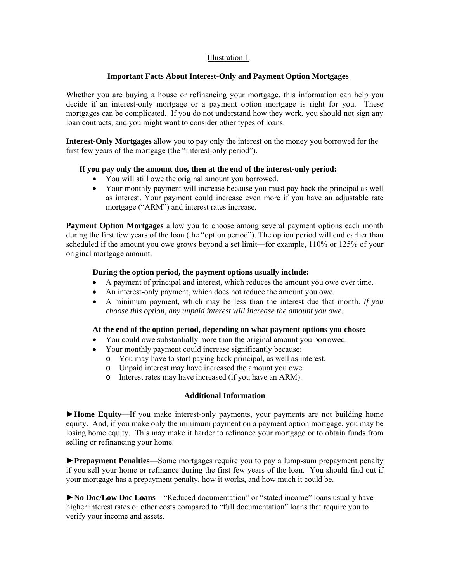## Illustration 1

#### **Important Facts About Interest-Only and Payment Option Mortgages**

Whether you are buying a house or refinancing your mortgage, this information can help you decide if an interest-only mortgage or a payment option mortgage is right for you. These mortgages can be complicated. If you do not understand how they work, you should not sign any loan contracts, and you might want to consider other types of loans.

**Interest-Only Mortgages** allow you to pay only the interest on the money you borrowed for the first few years of the mortgage (the "interest-only period").

## **If you pay only the amount due, then at the end of the interest-only period:**

- You will still owe the original amount you borrowed.
- Your monthly payment will increase because you must pay back the principal as well as interest. Your payment could increase even more if you have an adjustable rate mortgage ("ARM") and interest rates increase.

**Payment Option Mortgages** allow you to choose among several payment options each month during the first few years of the loan (the "option period"). The option period will end earlier than scheduled if the amount you owe grows beyond a set limit—for example, 110% or 125% of your original mortgage amount.

# **During the option period, the payment options usually include:**

- A payment of principal and interest*,* which reduces the amount you owe over time.
- An interest-only payment, which does not reduce the amount you owe.
- A minimum payment, which may be less than the interest due that month. *If you choose this option, any unpaid interest will increase the amount you owe*.

#### **At the end of the option period, depending on what payment options you chose:**

- You could owe substantially more than the original amount you borrowed.
- Your monthly payment could increase significantly because:
	- o You may have to start paying back principal, as well as interest.
	- o Unpaid interest may have increased the amount you owe.
	- o Interest rates may have increased (if you have an ARM).

#### **Additional Information**

►**Home Equity**—If you make interest-only payments, your payments are not building home equity. And, if you make only the minimum payment on a payment option mortgage, you may be losing home equity. This may make it harder to refinance your mortgage or to obtain funds from selling or refinancing your home.

►**Prepayment Penalties**—Some mortgages require you to pay a lump-sum prepayment penalty if you sell your home or refinance during the first few years of the loan. You should find out if your mortgage has a prepayment penalty, how it works, and how much it could be.

►**No Doc/Low Doc Loans**—"Reduced documentation" or "stated income" loans usually have higher interest rates or other costs compared to "full documentation" loans that require you to verify your income and assets.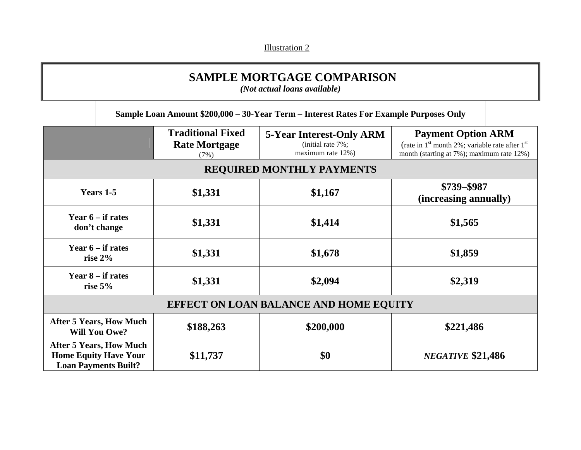Illustration 2

# **SAMPLE MORTGAGE COMPARISON**

*(Not actual loans available)* 

**Sample Loan Amount \$200,000 – 30-Year Term – Interest Rates For Example Purposes Only** 

|                                                                                               | <b>Traditional Fixed</b><br><b>Rate Mortgage</b><br>(7%) | <b>5-Year Interest-Only ARM</b><br>(initial rate 7%;<br>maximum rate 12%) | <b>Payment Option ARM</b><br>(rate in $1st$ month 2%; variable rate after $1st$<br>month (starting at 7%); maximum rate 12%) |  |  |
|-----------------------------------------------------------------------------------------------|----------------------------------------------------------|---------------------------------------------------------------------------|------------------------------------------------------------------------------------------------------------------------------|--|--|
| <b>REQUIRED MONTHLY PAYMENTS</b>                                                              |                                                          |                                                                           |                                                                                                                              |  |  |
| Years 1-5                                                                                     | \$1,331                                                  | \$1,167                                                                   | \$739-\$987<br>(increasing annually)                                                                                         |  |  |
| Year $6 - if$ rates<br>don't change                                                           | \$1,331                                                  | \$1,414                                                                   | \$1,565                                                                                                                      |  |  |
| Year $6$ – if rates<br>rise $2\%$                                                             | \$1,331                                                  | \$1,678                                                                   | \$1,859                                                                                                                      |  |  |
| Year $8 - if$ rates<br>rise $5\%$                                                             | \$1,331                                                  | \$2,094                                                                   | \$2,319                                                                                                                      |  |  |
| <b>EFFECT ON LOAN BALANCE AND HOME EQUITY</b>                                                 |                                                          |                                                                           |                                                                                                                              |  |  |
| <b>After 5 Years, How Much</b><br><b>Will You Owe?</b>                                        | \$188,263                                                | \$200,000                                                                 | \$221,486                                                                                                                    |  |  |
| <b>After 5 Years, How Much</b><br><b>Home Equity Have Your</b><br><b>Loan Payments Built?</b> | \$11,737                                                 | \$0                                                                       | <b>NEGATIVE \$21,486</b>                                                                                                     |  |  |